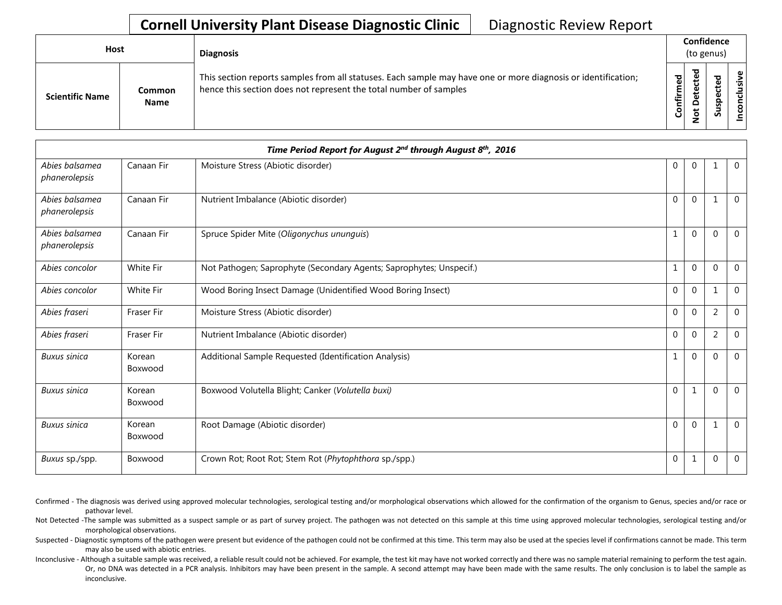## **Cornell University Plant Disease Diagnostic Clinic** | Diagnostic Review Report

| <b>Host</b>            |                              | <b>Diagnosis</b>                                                                                                                                                                   |           | Confidence<br>(to genus)         |   |                 |  |
|------------------------|------------------------------|------------------------------------------------------------------------------------------------------------------------------------------------------------------------------------|-----------|----------------------------------|---|-----------------|--|
| <b>Scientific Name</b> | <b>Common</b><br><b>Name</b> | This section reports samples from all statuses. Each sample may have one or more diagnosis or identification;<br>hence this section does not represent the total number of samples | Confirmed | ᇃ<br>ن<br>Φ<br>≏<br>سه<br>⇁<br>- | ശ | ω<br>usiv<br>᠊ᠣ |  |

|                                 |                   | Time Period Report for August 2 <sup>nd</sup> through August 8 <sup>th</sup> , 2016 |              |                |              |                |
|---------------------------------|-------------------|-------------------------------------------------------------------------------------|--------------|----------------|--------------|----------------|
| Abies balsamea<br>phanerolepsis | Canaan Fir        | Moisture Stress (Abiotic disorder)                                                  | $\mathbf{0}$ | $\mathbf{0}$   |              | $\overline{0}$ |
| Abies balsamea<br>phanerolepsis | Canaan Fir        | Nutrient Imbalance (Abiotic disorder)                                               | $\Omega$     | $\Omega$       |              | $\Omega$       |
| Abies balsamea<br>phanerolepsis | Canaan Fir        | Spruce Spider Mite (Oligonychus ununguis)                                           |              | $\Omega$       | $\Omega$     | $\overline{0}$ |
| Abies concolor                  | <b>White Fir</b>  | Not Pathogen; Saprophyte (Secondary Agents; Saprophytes; Unspecif.)                 | 1            | $\overline{0}$ | $\Omega$     | $\Omega$       |
| Abies concolor                  | White Fir         | Wood Boring Insect Damage (Unidentified Wood Boring Insect)                         | $\mathbf{0}$ | $\mathbf 0$    |              | $\Omega$       |
| Abies fraseri                   | Fraser Fir        | Moisture Stress (Abiotic disorder)                                                  | $\mathbf 0$  | $\overline{0}$ | 2            | $\overline{0}$ |
| Abies fraseri                   | <b>Fraser Fir</b> | Nutrient Imbalance (Abiotic disorder)                                               | $\mathbf{0}$ | $\overline{0}$ | 2            | $\mathbf{0}$   |
| <b>Buxus</b> sinica             | Korean<br>Boxwood | Additional Sample Requested (Identification Analysis)                               | 1            | $\Omega$       | $\Omega$     | $\overline{0}$ |
| <b>Buxus sinica</b>             | Korean<br>Boxwood | Boxwood Volutella Blight; Canker (Volutella buxi)                                   | $\mathbf{0}$ | 1              | $\Omega$     | $\mathbf 0$    |
| <b>Buxus</b> sinica             | Korean<br>Boxwood | Root Damage (Abiotic disorder)                                                      | $\mathbf{0}$ | $\mathbf{0}$   | $\mathbf{1}$ | $\mathbf 0$    |
| Buxus sp./spp.                  | Boxwood           | Crown Rot; Root Rot; Stem Rot (Phytophthora sp./spp.)                               | $\mathbf 0$  | 1              | $\Omega$     | $\mathbf 0$    |

- Confirmed The diagnosis was derived using approved molecular technologies, serological testing and/or morphological observations which allowed for the confirmation of the organism to Genus, species and/or race or pathovar level.
- Not Detected -The sample was submitted as a suspect sample or as part of survey project. The pathogen was not detected on this sample at this time using approved molecular technologies, serological testing and/or morphological observations.
- Suspected Diagnostic symptoms of the pathogen were present but evidence of the pathogen could not be confirmed at this time. This term may also be used at the species level if confirmations cannot be made. This term may also be used with abiotic entries.
- Inconclusive Although a suitable sample was received, a reliable result could not be achieved. For example, the test kit may have not worked correctly and there was no sample material remaining to perform the test again. Or, no DNA was detected in a PCR analysis. Inhibitors may have been present in the sample. A second attempt may have been made with the same results. The only conclusion is to label the sample as inconclusive.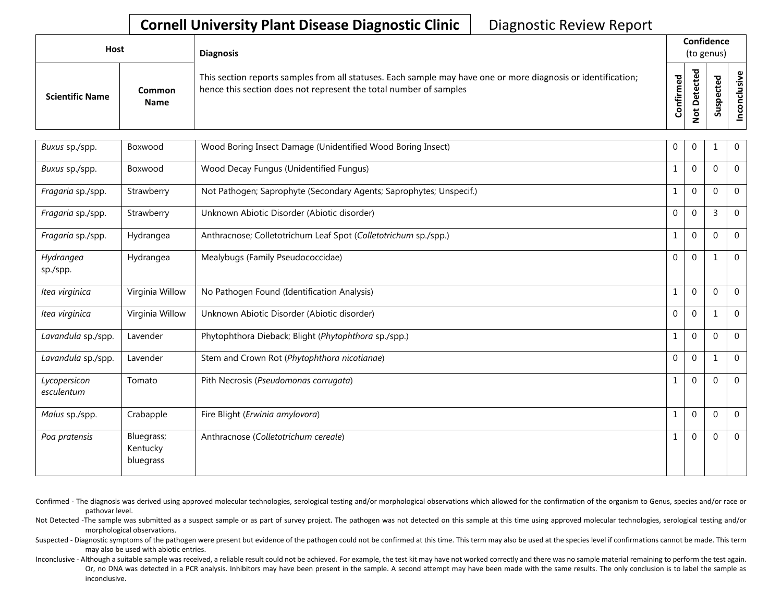## **Cornell University Plant Disease Diagnostic Clinic** | Diagnostic Review Report

| Host                   |                              | <b>Diagnosis</b>                                                                                                                                                                   |                                | Confidence<br>(to genus) |        |        |
|------------------------|------------------------------|------------------------------------------------------------------------------------------------------------------------------------------------------------------------------------|--------------------------------|--------------------------|--------|--------|
| <b>Scientific Name</b> | <b>Common</b><br><b>Name</b> | This section reports samples from all statuses. Each sample may have one or more diagnosis or identification;<br>hence this section does not represent the total number of samples | $\overline{\sigma}$<br>Confirm | 75                       | s<br>ഗ | ω<br>ဥ |

| Buxus sp./spp.             | Boxwood                             | Wood Boring Insect Damage (Unidentified Wood Boring Insect)         | 0            | $\mathbf 0$  |                | $\mathbf{0}$   |
|----------------------------|-------------------------------------|---------------------------------------------------------------------|--------------|--------------|----------------|----------------|
| Buxus sp./spp.             | Boxwood                             | Wood Decay Fungus (Unidentified Fungus)                             |              | $\mathbf{0}$ | $\Omega$       | $\mathbf 0$    |
| Fragaria sp./spp.          | Strawberry                          | Not Pathogen; Saprophyte (Secondary Agents; Saprophytes; Unspecif.) |              | $\mathbf{0}$ | $\mathbf{0}$   | $\mathbf 0$    |
| Fragaria sp./spp.          | Strawberry                          | Unknown Abiotic Disorder (Abiotic disorder)                         | 0            | $\mathbf{0}$ | $\overline{3}$ | $\mathbf 0$    |
| Fragaria sp./spp.          | Hydrangea                           | Anthracnose; Colletotrichum Leaf Spot (Colletotrichum sp./spp.)     | 1            | $\mathbf{0}$ | $\Omega$       | $\overline{0}$ |
| Hydrangea<br>sp./spp.      | Hydrangea                           | Mealybugs (Family Pseudococcidae)                                   | $\mathbf{0}$ | $\mathbf{0}$ | 1              | $\overline{0}$ |
| Itea virginica             | Virginia Willow                     | No Pathogen Found (Identification Analysis)                         | $\mathbf{1}$ | $\mathbf 0$  | $\Omega$       | $\mathbf 0$    |
| Itea virginica             | Virginia Willow                     | Unknown Abiotic Disorder (Abiotic disorder)                         | 0            | $\mathbf 0$  | 1              | $\overline{0}$ |
| Lavandula sp./spp.         | Lavender                            | Phytophthora Dieback; Blight (Phytophthora sp./spp.)                |              | $\mathbf{0}$ | $\mathbf 0$    | $\mathbf 0$    |
| Lavandula sp./spp.         | Lavender                            | Stem and Crown Rot (Phytophthora nicotianae)                        | 0            | $\mathbf{0}$ | 1              | $\Omega$       |
| Lycopersicon<br>esculentum | Tomato                              | Pith Necrosis (Pseudomonas corrugata)                               | 1            | $\mathbf{0}$ | $\Omega$       | $\overline{0}$ |
| Malus sp./spp.             | Crabapple                           | Fire Blight (Erwinia amylovora)                                     |              | $\mathbf{0}$ | $\Omega$       | $\mathbf 0$    |
| Poa pratensis              | Bluegrass;<br>Kentucky<br>bluegrass | Anthracnose (Colletotrichum cereale)                                | 1            | $\mathbf{0}$ | $\mathbf 0$    | $\mathbf 0$    |

Confirmed - The diagnosis was derived using approved molecular technologies, serological testing and/or morphological observations which allowed for the confirmation of the organism to Genus, species and/or race or pathovar level.

Not Detected -The sample was submitted as a suspect sample or as part of survey project. The pathogen was not detected on this sample at this time using approved molecular technologies, serological testing and/or morphological observations.

Suspected - Diagnostic symptoms of the pathogen were present but evidence of the pathogen could not be confirmed at this time. This term may also be used at the species level if confirmations cannot be made. This term may also be used with abiotic entries.

Inconclusive - Although a suitable sample was received, a reliable result could not be achieved. For example, the test kit may have not worked correctly and there was no sample material remaining to perform the test again. Or, no DNA was detected in a PCR analysis. Inhibitors may have been present in the sample. A second attempt may have been made with the same results. The only conclusion is to label the sample as inconclusive.